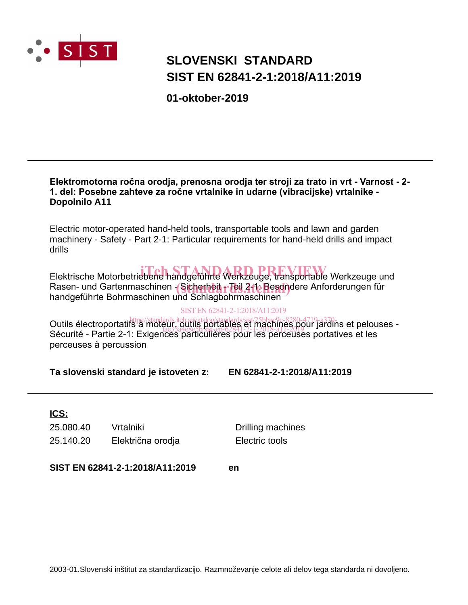

# **SLOVENSKI STANDARD SIST EN 62841-2-1:2018/A11:2019**

**01-oktober-2019**

#### **Elektromotorna ročna orodja, prenosna orodja ter stroji za trato in vrt - Varnost - 2- 1. del: Posebne zahteve za ročne vrtalnike in udarne (vibracijske) vrtalnike - Dopolnilo A11**

Electric motor-operated hand-held tools, transportable tools and lawn and garden machinery - Safety - Part 2-1: Particular requirements for hand-held drills and impact drills

Elektrische Motorbetriebene handgeführte Werkzeuge, transportable Werkzeuge und Rasen- und Gartenmaschinen - Sicherheit - Teil 211e Besondere Anforderungen für<br>bendasführte Behrmaschinen und Schlagbehrmaschinen handgeführte Bohrmaschinen und Schlagbohrmaschinen

#### SIST EN 62841-2-1:2018/A11:2019

Outils électroportatifs à moteur, outlis portables et machines 280-4719-a370-as Sams cicculoportants à moteur, squite, portatives, et l'1918-41-2019 et la dins ci percu.<br>Sécurité - Partie 2-1: Exigences particulières pour les perceuses portatives et les perceuses à percussion

**Ta slovenski standard je istoveten z: EN 62841-2-1:2018/A11:2019**

### **ICS:**

25.080.40 Vrtalniki Drilling machines 25.140.20 Električna orodja Electric tools

**SIST EN 62841-2-1:2018/A11:2019 en**

2003-01.Slovenski inštitut za standardizacijo. Razmnoževanje celote ali delov tega standarda ni dovoljeno.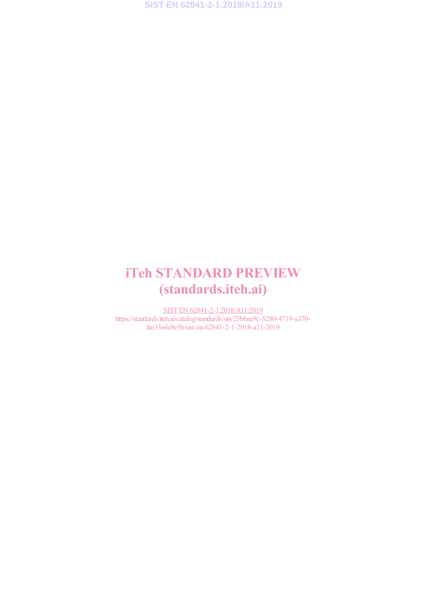**SIST EN 62841-2-1:2018/A11:2019**

# iTeh STANDARD PREVIEW (standards.iteh.ai)

SIST EN 62841-2-1:2018/A11:2019 https://standards.iteh.ai/catalog/standards/sist/25bbae9c-8280-4719-a370 fae33a4e8e5b/sist-en-62841-2-1-2018-a11-2019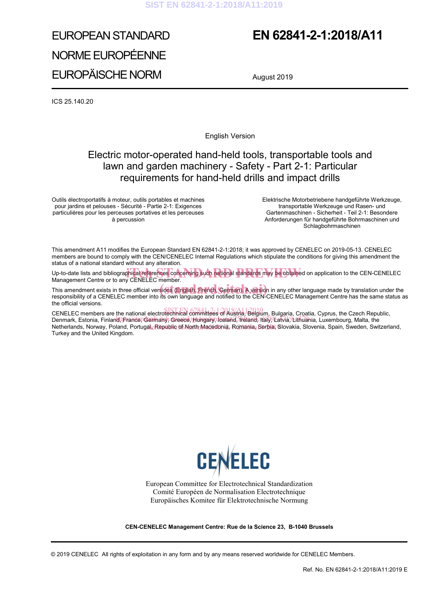# EUROPEAN STANDARD NORME EUROPÉENNE EUROPÄISCHE NORM

# **EN 62841-2-1:2018/A11**

August 2019

ICS 25.140.20

English Version

### Electric motor-operated hand-held tools, transportable tools and lawn and garden machinery - Safety - Part 2-1: Particular requirements for hand-held drills and impact drills

Outils électroportatifs à moteur, outils portables et machines pour jardins et pelouses - Sécurité - Partie 2-1: Exigences particulières pour les perceuses portatives et les perceuses à percussion

Elektrische Motorbetriebene handgeführte Werkzeuge, transportable Werkzeuge und Rasen- und Gartenmaschinen - Sicherheit - Teil 2-1: Besondere Anforderungen für handgeführte Bohrmaschinen und **Schlagbohrmaschinen** 

This amendment A11 modifies the European Standard EN 62841-2-1:2018; it was approved by CENELEC on 2019-05-13. CENELEC members are bound to comply with the CEN/CENELEC Internal Regulations which stipulate the conditions for giving this amendment the status of a national standard without any alteration.

Up-to-date lists and bibliographical references concerning such national standards may be obtained on application to the CEN-CENELEC<br>Management Centre or to any CENELEC member. Management Centre or to any CENELEC member.

This amendment exists in three official versions (English, French, German). A version in any other language made by translation under the China and position of a CENEL EC member into its own language and potified to the CE responsibility of a CENELEC member into its own language and notified to the CEN-CENELEC Management Centre has the same status as the official versions.

CENELEC members are the national electrotechnical committees of Austria, Belgium, Bulgaria, Croatia, Cyprus, the Czech Republic, University of the finance of the finance of the beat of the committee of the catalogy of the catalogy of the catalogy and the catalogy of the catalogy of the catalogy of the catalogy of the catalogy of the catalogy of the Netherlands, Norway, Poland, Portug<u>al, Republic of North Macedonia</u>, Romania, Ser<u>b</u>ia, Slovakia, Slovenia, Spain, Sweden, Switzerland,<br>T Turkey and the United Kingdom.



European Committee for Electrotechnical Standardization Comité Européen de Normalisation Electrotechnique Europäisches Komitee für Elektrotechnische Normung

**CEN-CENELEC Management Centre: Rue de la Science 23, B-1040 Brussels**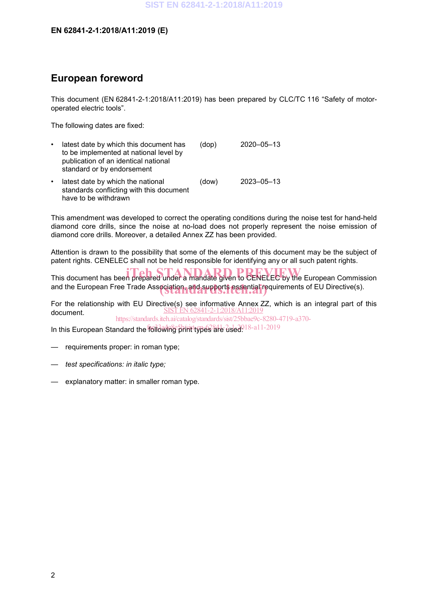#### **EN 62841-2-1:2018/A11:2019 (E)**

### **European foreword**

This document (EN 62841-2-1:2018/A11:2019) has been prepared by CLC/TC 116 "Safety of motoroperated electric tools".

The following dates are fixed:

have to be withdrawn

| $\bullet$ | latest date by which this document has<br>to be implemented at national level by<br>publication of an identical national<br>standard or by endorsement | (dop) | 2020-05-13       |
|-----------|--------------------------------------------------------------------------------------------------------------------------------------------------------|-------|------------------|
| $\bullet$ | latest date by which the national<br>standards conflicting with this document                                                                          | (dow) | $2023 - 05 - 13$ |

This amendment was developed to correct the operating conditions during the noise test for hand-held diamond core drills, since the noise at no-load does not properly represent the noise emission of diamond core drills. Moreover, a detailed Annex ZZ has been provided.

Attention is drawn to the possibility that some of the elements of this document may be the subject of patent rights. CENELEC shall not be held responsible for identifying any or all such patent rights.

This document has been prepared under a mandate given to CENELEC by the European Commission and the European Free Trade Association, and supports essential requirements of EU Directive(s).

For the relationship with EU Directive(s) see informative Annex ZZ, which is an integral part of this document. SIST EN 62841-2-1:2018/A11:2019

https://standards.iteh.ai/catalog/standards/sist/25bbae9c-8280-4719-a370-

In this European Standard the following print types are used. 18-a11-2019

- requirements proper: in roman type;
- *— test specifications: in italic type;*
- explanatory matter: in smaller roman type.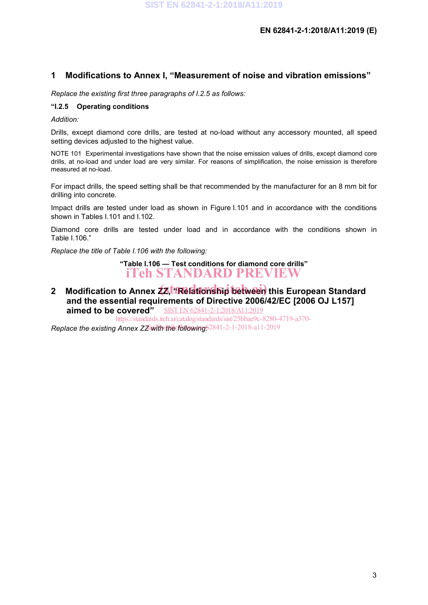### **1 Modifications to Annex I, "Measurement of noise and vibration emissions"**

*Replace the existing first three paragraphs of I.2.5 as follows:*

#### **"I.2.5 Operating conditions**

*Addition:*

Drills, except diamond core drills, are tested at no-load without any accessory mounted, all speed setting devices adjusted to the highest value.

NOTE 101 Experimental investigations have shown that the noise emission values of drills, except diamond core drills, at no-load and under load are very similar. For reasons of simplification, the noise emission is therefore measured at no-load.

For impact drills, the speed setting shall be that recommended by the manufacturer for an 8 mm bit for drilling into concrete.

Impact drills are tested under load as shown in Figure I.101 and in accordance with the conditions shown in Tables I.101 and I.102.

Diamond core drills are tested under load and in accordance with the conditions shown in Table I.106."

*Replace the title of Table I.106 with the following:*

**"Table I.106 — Test conditions for diamond core drills"** iTeh STANDARD PREVIEW

2 Modification to Annex 22,<sup>t.</sup> Relationship between this European Standard **and the essential requirements of Directive 2006/42/EC [2006 OJ L157] aimed to be covered"** SIST EN 62841-2-1:2018/A11:2019

Replace the existing Annex ZZawith the following 62841-2-1-2018-a11-2019 https://standards.iteh.ai/catalog/standards/sist/25bbae9c-8280-4719-a370-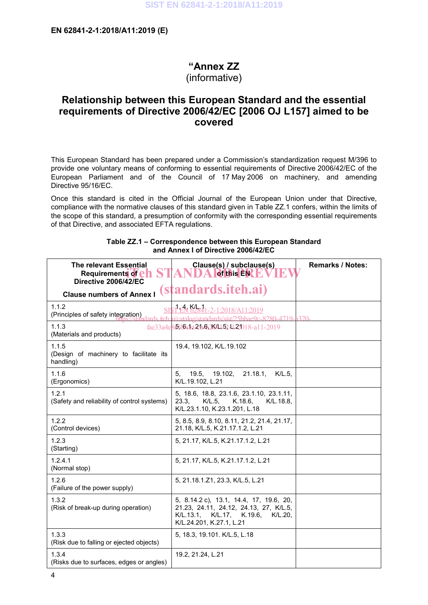# **"Annex ZZ**

## (informative)

### **Relationship between this European Standard and the essential requirements of Directive 2006/42/EC [2006 OJ L157] aimed to be covered**

This European Standard has been prepared under a Commission's standardization request M/396 to provide one voluntary means of conforming to essential requirements of Directive 2006/42/EC of the European Parliament and of the Council of 17 May 2006 on machinery, and amending Directive 95/16/EC.

Once this standard is cited in the Official Journal of the European Union under that Directive, compliance with the normative clauses of this standard given in Table ZZ.1 confers, within the limits of the scope of this standard, a presumption of conformity with the corresponding essential requirements of that Directive, and associated EFTA regulations.

| <b>The relevant Essential</b>                                | Clause(s) / subclause(s)                                                                                                                                | <b>Remarks / Notes:</b> |
|--------------------------------------------------------------|---------------------------------------------------------------------------------------------------------------------------------------------------------|-------------------------|
| Requirements of en<br>Directive 2006/42/EC                   | of this EN                                                                                                                                              |                         |
| <b>Clause numbers of Annex I</b>                             | <i>(standards.iteh.ai)</i>                                                                                                                              |                         |
| 1.1.2<br>S<br>(Principles of safety integration)             | $7.4$ KHz $4$ 1-2-1:2018/A11:2019<br>$\cosh\omega/\sin\theta$ and $\sinh\omega$ and $\sinh\omega$ and $\sinh\omega$ and $\sinh\omega$ and $\sinh\omega$ |                         |
| 1.1.3<br>(Materials and products)                            | fae33a4e855655t52h65264152422018-a11-2019                                                                                                               |                         |
| 1.1.5<br>(Design of machinery to facilitate its<br>handling) | 19.4, 19.102, K/L.19.102                                                                                                                                |                         |
| 1.1.6<br>(Ergonomics)                                        | 21.18.1<br>5.<br>19.5.<br>19.102,<br>K/L.5<br>K/L.19.102, L.21                                                                                          |                         |
| 1.2.1<br>(Safety and reliability of control systems)         | 5, 18.6, 18.8, 23.1.6, 23.1.10, 23.1.11,<br>$K/L.5$ ,<br>23.3.<br>K.18.6<br>K/L.18.8<br>K/L.23.1.10, K.23.1.201, L.18                                   |                         |
| 1.2.2<br>(Control devices)                                   | 5, 8.5, 8.9, 8.10, 8.11, 21.2, 21.4, 21.17,<br>21.18, K/L.5, K.21.17.1.2, L.21                                                                          |                         |
| 1.2.3<br>(Starting)                                          | 5, 21.17, K/L.5, K.21.17.1.2, L.21                                                                                                                      |                         |
| 1.2.4.1<br>(Normal stop)                                     | 5, 21.17, K/L.5, K.21.17.1.2, L.21                                                                                                                      |                         |
| 1.2.6<br>(Failure of the power supply)                       | 5, 21.18.1.Z1, 23.3, K/L.5, L.21                                                                                                                        |                         |
| 1.3.2<br>(Risk of break-up during operation)                 | 5, 8.14.2 c), 13.1, 14.4, 17, 19.6, 20,<br>21.23, 24.11, 24.12, 24.13, 27, K/L.5,<br>K/L.13.1,<br>K/L.17, K.19.6,<br>K/L.20<br>K/L.24.201, K.27.1, L.21 |                         |
| 1.3.3<br>(Risk due to falling or ejected objects)            | 5, 18.3, 19.101. K/L.5, L.18                                                                                                                            |                         |
| 1.3.4<br>(Risks due to surfaces, edges or angles)            | 19.2, 21.24, L.21                                                                                                                                       |                         |

#### **Table ZZ.1 – Correspondence between this European Standard and Annex I of Directive 2006/42/EC**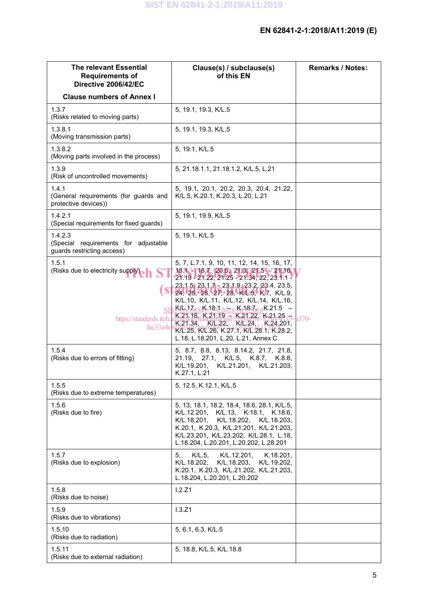| <b>The relevant Essential</b><br><b>Requirements of</b><br>Directive 2006/42/EC | Clause(s) / subclause(s)<br>of this EN                                                                                                                                                                                                                                          | <b>Remarks / Notes:</b> |
|---------------------------------------------------------------------------------|---------------------------------------------------------------------------------------------------------------------------------------------------------------------------------------------------------------------------------------------------------------------------------|-------------------------|
| <b>Clause numbers of Annex I</b>                                                |                                                                                                                                                                                                                                                                                 |                         |
| 1.3.7<br>(Risks related to moving parts)                                        | 5, 19.1, 19.3, K/L.5                                                                                                                                                                                                                                                            |                         |
| 1.3.8.1<br>(Moving transmission parts)                                          | 5, 19.1, 19.3, K/L.5                                                                                                                                                                                                                                                            |                         |
| 1.3.8.2<br>(Moving parts involved in the process)                               | 5, 19.1, K/L.5                                                                                                                                                                                                                                                                  |                         |
| 1.3.9<br>(Risk of uncontrolled movements)                                       | 5, 21.18.1.1, 21.18.1.2, K/L.5, L.21                                                                                                                                                                                                                                            |                         |
| 1.4.1<br>(General requirements (for guards and<br>protective devices))          | 5, 19.1, 20.1, 20.2, 20.3, 20.4, 21.22,<br>K/L.5, K.20.1, K.20.3, L.20, L.21                                                                                                                                                                                                    |                         |
| 1.4.2.1<br>(Special requirements for fixed guards)                              | 5, 19.1, 19.9, K/L.5                                                                                                                                                                                                                                                            |                         |
| 1.4.2.3<br>(Special requirements for adjustable<br>guards restricting access)   | 5, 19.1, K/L.5                                                                                                                                                                                                                                                                  |                         |
| 1.5.1<br>(Risks due to electricity supply)<br><b>h</b>                          | 5, 7, L.7.1, 9, 10, 11, 12, 14, 15, 16, 17,<br>18.1 18.7, 20.5, 20.9, 21.5, 721.16,<br>$21.19 - 21.22, 21.25 - 21.34, 22, 23.1.1$<br>$23.1.5$ , $23.1.7 - 23.1.9$ , $23.2$ , $23.4$ , 23.5,<br>24, 25, 26, 27, 28, 141.5, 167, K/L.9<br>K/L.10, K/L.11, K/L.12, K/L.14, K/L.16, |                         |
| https://standards.iteh.<br>fae33a4e                                             | <u> :K#\172844.18.12013/K118271.9</u> K.21.5 –<br>$K$ 21, 16, $K$ 21, 19 – $K$ 21, 22, $K$ 21, 25, $\frac{1}{10}$<br>K.21.34, KL.22, KL.24, K.24.201,<br>K/L.25, K/L.26, K.27.1, K/L.28.1, K.28.2,<br>L.18, L.18.201, L.20, L.21, Annex C                                       | $370-$                  |
| 1.5.4<br>(Risks due to errors of fitting)                                       | 5, 8.7, 8.8, 8.13, 8.14.2, 21.7, 21.8,<br>21.19, 27.1, K/L.5, K.8.7, K.8.8,<br>K/L.19.201,<br>K/L.21.201, K/L.21.203,<br>K.27.1, L.21                                                                                                                                           |                         |
| 1.5.5<br>(Risks due to extreme temperatures)                                    | 5, 12.5, K.12.1, K/L.5                                                                                                                                                                                                                                                          |                         |
| 1.5.6<br>(Risks due to fire)                                                    | 5, 13, 18.1, 18.2, 18.4, 18.6, 28.1, K/L.5,<br>K/L.12.201,<br>K/L.13, K.18.1, K.18.6,<br>K/L.18.201,<br>K/L.18.202,<br>K/L.18.203,<br>K.20.1, K.20.3, K/L.21.201, K/L.21.203,<br>K/L.23.201, K/L.23.202, K/L.28.1, L.18,<br>L.18.204, L.20.201, L.20.202, L.28.201              |                         |
| 1.5.7<br>(Risks due to explosion)                                               | $K/L.5$ ,<br>K/L.12.201,<br>K.18.201,<br>5,<br>K/L.18.202,<br>K/L.18.203,<br>K/L.19.202,<br>K.20.1, K.20.3, K/L.21.202, K/L.21.203,<br>L.18.204, L.20.201, L.20.202                                                                                                             |                         |
| 1.5.8<br>(Risks due to noise)                                                   | 1.2.Z1                                                                                                                                                                                                                                                                          |                         |
| 1.5.9<br>(Risks due to vibrations)                                              | 1.3.Z1                                                                                                                                                                                                                                                                          |                         |
| 1.5.10<br>(Risks due to radiation)                                              | 5, 6.1, 6.3, K/L.5                                                                                                                                                                                                                                                              |                         |
| 1.5.11<br>(Risks due to external radiation)                                     | 5, 18.8, K/L.5, K/L.18.8                                                                                                                                                                                                                                                        |                         |